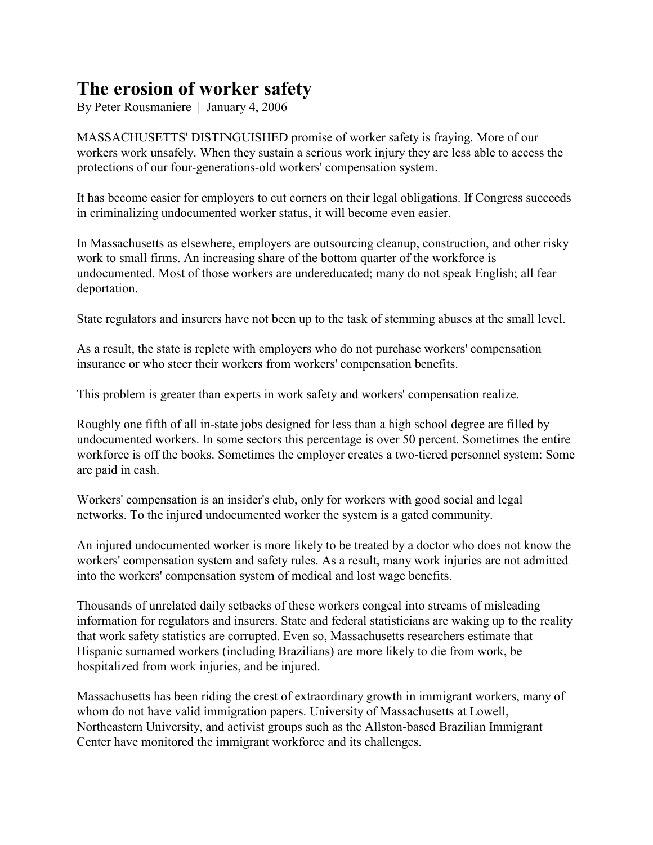## **The erosion of worker safety**

By Peter Rousmaniere | January 4, 2006

MASSACHUSETTS' DISTINGUISHED promise of worker safety is fraying. More of our workers work unsafely. When they sustain a serious work injury they are less able to access the protections of our four-generations-old workers' compensation system.

It has become easier for employers to cut corners on their legal obligations. If Congress succeeds in criminalizing undocumented worker status, it will become even easier.

In Massachusetts as elsewhere, employers are outsourcing cleanup, construction, and other risky work to small firms. An increasing share of the bottom quarter of the workforce is undocumented. Most of those workers are undereducated; many do not speak English; all fear deportation.

State regulators and insurers have not been up to the task of stemming abuses at the small level.

As a result, the state is replete with employers who do not purchase workers' compensation insurance or who steer their workers from workers' compensation benefits.

This problem is greater than experts in work safety and workers' compensation realize.

Roughly one fifth of all in-state jobs designed for less than a high school degree are filled by undocumented workers. In some sectors this percentage is over 50 percent. Sometimes the entire workforce is off the books. Sometimes the employer creates a two-tiered personnel system: Some are paid in cash.

Workers' compensation is an insider's club, only for workers with good social and legal networks. To the injured undocumented worker the system is a gated community.

An injured undocumented worker is more likely to be treated by a doctor who does not know the workers' compensation system and safety rules. As a result, many work injuries are not admitted into the workers' compensation system of medical and lost wage benefits.

Thousands of unrelated daily setbacks of these workers congeal into streams of misleading information for regulators and insurers. State and federal statisticians are waking up to the reality that work safety statistics are corrupted. Even so, Massachusetts researchers estimate that Hispanic surnamed workers (including Brazilians) are more likely to die from work, be hospitalized from work injuries, and be injured.

Massachusetts has been riding the crest of extraordinary growth in immigrant workers, many of whom do not have valid immigration papers. University of Massachusetts at Lowell, Northeastern University, and activist groups such as the Allston-based Brazilian Immigrant Center have monitored the immigrant workforce and its challenges.